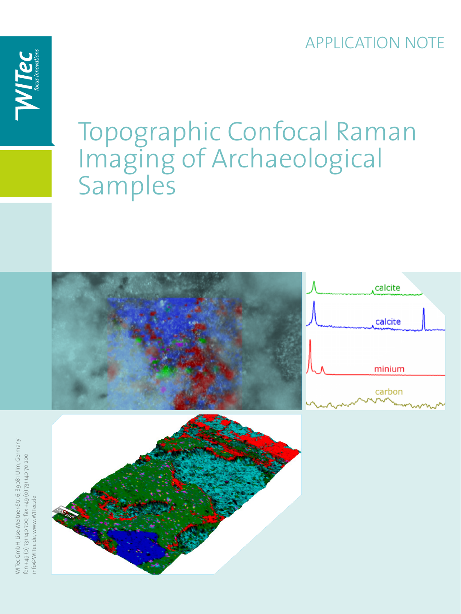### APPLICATION NOTE



# Topographic Confocal Raman Imaging of Archaeological Samples

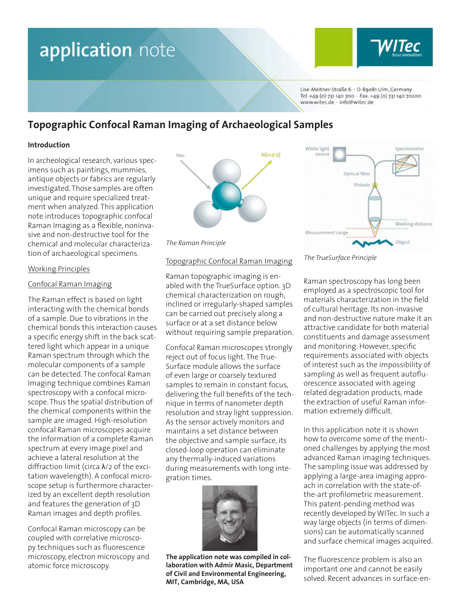

Lise-Meitner-Straße 6 - D-89081 Ulm, Germany Tel. +49 (0) 731 140 700 · Fax. +49 (0) 731 140 70200 www.witec.de - info@witec.de

### **Topographic Confocal Raman Imaging of Archaeological Samples**

### **Introduction**

In archeological research, various specimens such as paintings, mummies, antique objects or fabrics are regularly investigated. Those samples are often unique and require specialized treatment when analyzed. This application note introduces topographic confocal Raman Imaging as a flexible, noninvasive and non-destructive tool for the chemical and molecular characterization of archaeological specimens.

### Working Principles

### Confocal Raman Imaging

The Raman effect is based on light interacting with the chemical bonds of a sample. Due to vibrations in the chemical bonds this interaction causes a specific energy shift in the back scattered light which appear in a unique Raman spectrum through which the molecular components of a sample can be detected. The confocal Raman Imaging technique combines Raman spectroscopy with a confocal microscope. Thus the spatial distribution of the chemical components within the sample are imaged. High-resolution confocal Raman microscopes acquire the information of a complete Raman spectrum at every image pixel and achieve a lateral resolution at the diffraction limit (circa λ/2 of the excitation wavelength). A confocal microscope setup is furthermore characterized by an excellent depth resolution and features the generation of 3D Raman images and depth profiles.

Confocal Raman microscopy can be coupled with correlative microscopy techniques such as fluorescence microscopy, electron microscopy and atomic force microscopy.





### Topographic Confocal Raman Imaging

Raman topographic imaging is enabled with the TrueSurface option. 3D chemical characterization on rough, inclined or irregularly-shaped samples can be carried out precisely along a surface or at a set distance below without requiring sample preparation.

Confocal Raman microscopes strongly reject out of focus light. The True-Surface module allows the surface of even large or coarsely textured samples to remain in constant focus, delivering the full benefits of the technique in terms of nanometer depth resolution and stray light suppression. As the sensor actively monitors and maintains a set distance between the objective and sample surface, its closed-loop operation can eliminate any thermally-induced variations during measurements with long integration times.



**The application note was compiled in collaboration with Admir Masic, Department of Civil and Environmental Engineering, MIT, Cambridge, MA, USA**



*The TrueSurface Principle*

Raman spectroscopy has long been employed as a spectroscopic tool for materials characterization in the field of cultural heritage. Its non-invasive and non-destructive nature make it an attractive candidate for both material constituents and damage assessment and monitoring. However, specific requirements associated with objects of interest such as the impossibility of sampling as well as frequent autofluorescence associated with ageing related degradation products, made the extraction of useful Raman information extremely difficult.

In this application note it is shown how to overcome some of the mentioned challenges by applying the most advanced Raman imaging techniques. The sampling issue was addressed by applying a large-area imaging approach in correlation with the state-ofthe-art profilometric measurement. This patent-pending method was recently developed by WITec. In such a way large objects (in terms of dimensions) can be automatically scanned and surface chemical images acquired.

The fluorescence problem is also an important one and cannot be easily solved. Recent advances in surface-en-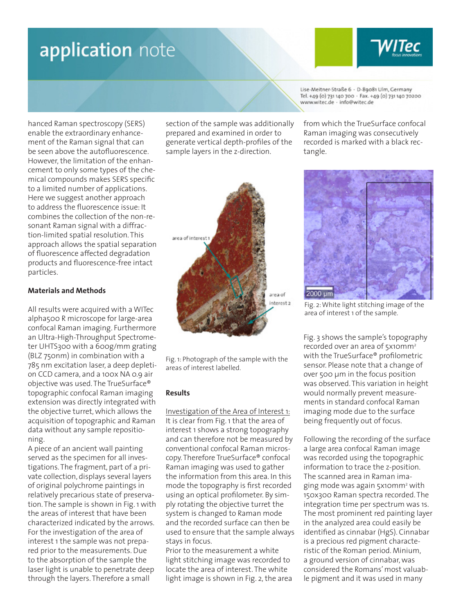

hanced Raman spectroscopy (SERS) enable the extraordinary enhancement of the Raman signal that can be seen above the autofluorescence. However, the limitation of the enhancement to only some types of the chemical compounds makes SERS specific to a limited number of applications. Here we suggest another approach to address the fluorescence issue: It combines the collection of the non-resonant Raman signal with a diffraction-limited spatial resolution. This approach allows the spatial separation of fluorescence affected degradation products and fluorescence-free intact particles.

### **Materials and Methods**

All results were acquired with a WITec alpha500 R microscope for large-area confocal Raman imaging. Furthermore an Ultra-High-Throughput Spectrometer UHTS300 with a 600g/mm grating (BLZ 750nm) in combination with a 785 nm excitation laser, a deep depletion CCD camera, and a 100x NA 0.9 air objective was used. The TrueSurface® topographic confocal Raman imaging extension was directly integrated with the objective turret, which allows the acquisition of topographic and Raman data without any sample repositioning.

A piece of an ancient wall painting served as the specimen for all investigations. The fragment, part of a private collection, displays several layers of original polychrome paintings in relatively precarious state of preservation. The sample is shown in Fig. 1 with the areas of interest that have been characterized indicated by the arrows. For the investigation of the area of interest 1 the sample was not prepared prior to the measurements. Due to the absorption of the sample the laser light is unable to penetrate deep through the layers. Therefore a small

section of the sample was additionally prepared and examined in order to generate vertical depth-profiles of the sample layers in the z-direction.



Fig. 1: Photograph of the sample with the areas of interest labelled.

#### **Results**

Investigation of the Area of Interest 1: It is clear from Fig. 1 that the area of interest 1 shows a strong topography and can therefore not be measured by conventional confocal Raman microscopy. Therefore TrueSurface® confocal Raman imaging was used to gather the information from this area. In this mode the topography is first recorded using an optical profilometer. By simply rotating the objective turret the system is changed to Raman mode and the recorded surface can then be used to ensure that the sample always stays in focus.

Prior to the measurement a white light stitching image was recorded to locate the area of interest. The white light image is shown in Fig. 2, the area Lise-Meitner-Straße 6 - D-89081 Ulm, Germany Tel. +49 (0) 731 140 700 · Fax. +49 (0) 731 140 70200 www.witec.de - info@witec.de

from which the TrueSurface confocal Raman imaging was consecutively recorded is marked with a black rectangle.



Fig. 2: White light stitching image of the area of interest 1 of the sample.

Fig. 3 shows the sample's topography recorded over an area of 5x10mm<sup>2</sup> with the TrueSurface® profilometric sensor. Please note that a change of over 500 µm in the focus position was observed. This variation in height would normally prevent measurements in standard confocal Raman imaging mode due to the surface being frequently out of focus.

Following the recording of the surface a large area confocal Raman image was recorded using the topographic information to trace the z-position. The scanned area in Raman imaging mode was again 5x10mm<sup>2</sup> with 150x300 Raman spectra recorded. The integration time per spectrum was 1s. The most prominent red painting layer in the analyzed area could easily be identified as cinnabar (HgS). Cinnabar is a precious red pigment characteristic of the Roman period. Minium, a ground version of cinnabar, was considered the Romans' most valuable pigment and it was used in many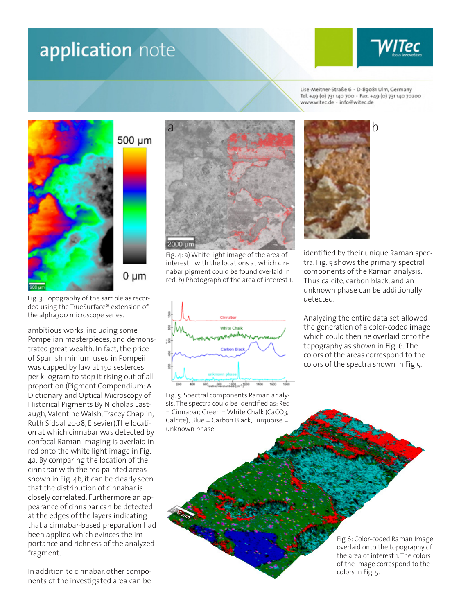

Lise-Meitner-Straße 6 - D-89081 Ulm, Germany Tel. +49 (0) 731 140 700 · Fax. +49 (0) 731 140 70200 www.witec.de - info@witec.de



 $0 \mu m$ 

Fig. 3: Topography of the sample as recorded using the TrueSurface® extension of the alpha300 microscope series.

ambitious works, including some Pompeiian masterpieces, and demonstrated great wealth. In fact, the price of Spanish minium used in Pompeii was capped by law at 150 sesterces per kilogram to stop it rising out of all proportion (Pigment Compendium: A Dictionary and Optical Microscopy of Historical Pigments By Nicholas Eastaugh, Valentine Walsh, Tracey Chaplin, Ruth Siddal 2008, Elsevier).The location at which cinnabar was detected by confocal Raman imaging is overlaid in red onto the white light image in Fig. 4a. By comparing the location of the cinnabar with the red painted areas shown in Fig. 4b, it can be clearly seen that the distribution of cinnabar is closely correlated. Furthermore an appearance of cinnabar can be detected at the edges of the layers indicating that a cinnabar-based preparation had been applied which evinces the importance and richness of the analyzed fragment.

In addition to cinnabar, other components of the investigated area can be



Fig. 4: a) White light image of the area of interest 1 with the locations at which cinnabar pigment could be found overlaid in red. b) Photograph of the area of interest 1.



Fig. 5: Spectral components Raman analysis. The spectra could be identified as: Red = Cinnabar; Green = White Chalk (CaCO3, Calcite); Blue = Carbon Black; Turquoise = unknown phase.

identified by their unique Raman spectra. Fig. 5 shows the primary spectral components of the Raman analysis. Thus calcite, carbon black, and an unknown phase can be additionally detected.

Analyzing the entire data set allowed the generation of a color-coded image which could then be overlaid onto the topography as shown in Fig. 6. The colors of the areas correspond to the colors of the spectra shown in Fig 5.

> Fig 6: Color-coded Raman Image overlaid onto the topography of the area of interest 1. The colors of the image correspond to the colors in Fig. 5.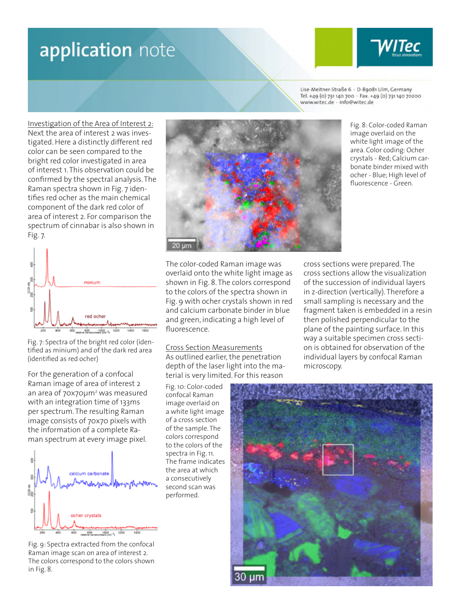Lise-Meitner-Straße 6 - D-89081 Ulm, Germany Tel. +49 (0) 731 140 700 · Fax. +49 (0) 731 140 70200 www.witec.de - info@witec.de

Investigation of the Area of Interest 2: Next the area of interest 2 was investigated. Here a distinctly different red color can be seen compared to the bright red color investigated in area of interest 1. This observation could be confirmed by the spectral analysis. The Raman spectra shown in Fig. 7 identifies red ocher as the main chemical component of the dark red color of area of interest 2. For comparison the spectrum of cinnabar is also shown in Fig. 7.



Fig. 7: Spectra of the bright red color (identified as minium) and of the dark red area (identified as red ocher)

For the generation of a confocal Raman image of area of interest 2 an area of 70x70µm<sup>2</sup> was measured with an integration time of 133ms per spectrum. The resulting Raman image consists of 70x70 pixels with the information of a complete Raman spectrum at every image pixel.



Fig. 9: Spectra extracted from the confocal Raman image scan on area of interest 2. The colors correspond to the colors shown in Fig. 8.



Fig. 8: Color-coded Raman image overlaid on the white light image of the area. Color coding: Ocher crystals - Red; Calcium carbonate binder mixed with ocher - Blue; High level of fluorescence - Green.

The color-coded Raman image was overlaid onto the white light image as shown in Fig. 8. The colors correspond to the colors of the spectra shown in Fig. 9 with ocher crystals shown in red and calcium carbonate binder in blue and green, indicating a high level of fluorescence.

Cross Section Measurements As outlined earlier, the penetration depth of the laser light into the material is very limited. For this reason

Fig. 10: Color-coded confocal Raman image overlaid on a white light image of a cross section of the sample. The colors correspond to the colors of the spectra in Fig. 11. The frame indicates the area at which a consecutively second scan was performed.

cross sections were prepared. The cross sections allow the visualization of the succession of individual layers in z-direction (vertically). Therefore a small sampling is necessary and the fragment taken is embedded in a resin then polished perpendicular to the plane of the painting surface. In this way a suitable specimen cross section is obtained for observation of the individual layers by confocal Raman microscopy.